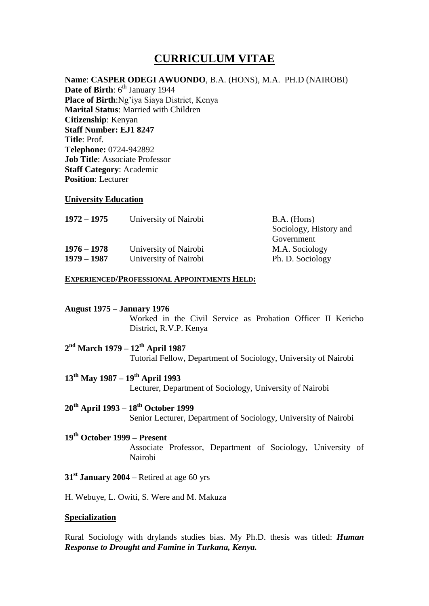# **CURRICULUM VITAE**

**Name**: **CASPER ODEGI AWUONDO**, B.A. (HONS), M.A. PH.D (NAIROBI) **Date of Birth:** 6<sup>th</sup> January 1944 **Place of Birth**:Ng'iya Siaya District, Kenya **Marital Status**: Married with Children **Citizenship**: Kenyan **Staff Number: EJ1 8247 Title**: Prof. **Telephone:** 0724-942892 **Job Title**: Associate Professor **Staff Category**: Academic **Position**: Lecturer

#### **University Education**

| $1972 - 1975$ | University of Nairobi | $B.A.$ (Hons)          |
|---------------|-----------------------|------------------------|
|               |                       | Sociology, History and |
|               |                       | Government             |
| $1976 - 1978$ | University of Nairobi | M.A. Sociology         |
| $1979 - 1987$ | University of Nairobi | Ph. D. Sociology       |

#### **EXPERIENCED/PROFESSIONAL APPOINTMENTS HELD:**

#### **August 1975 – January 1976**

Worked in the Civil Service as Probation Officer II Kericho District, R.V.P. Kenya

## **2 nd March 1979 – 12th April 1987** Tutorial Fellow, Department of Sociology, University of Nairobi

**13th May 1987 – 19th April 1993** Lecturer, Department of Sociology, University of Nairobi

# **20th April 1993 – 18th October 1999**

Senior Lecturer, Department of Sociology, University of Nairobi

# **19th October 1999 – Present**

Associate Professor, Department of Sociology, University of Nairobi

# **31st January 2004** – Retired at age 60 yrs

H. Webuye, L. Owiti, S. Were and M. Makuza

#### **Specialization**

Rural Sociology with drylands studies bias. My Ph.D. thesis was titled: *Human Response to Drought and Famine in Turkana, Kenya.*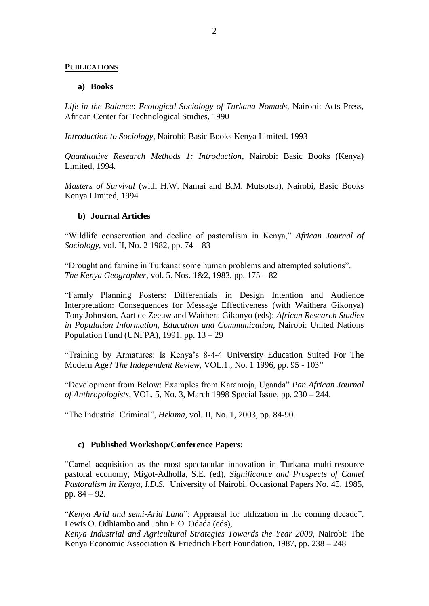#### **PUBLICATIONS**

#### **a) Books**

*Life in the Balance*: *Ecological Sociology of Turkana Nomads,* Nairobi: Acts Press, African Center for Technological Studies, 1990

*Introduction to Sociology*, Nairobi: Basic Books Kenya Limited. 1993

*Quantitative Research Methods 1: Introduction*, Nairobi: Basic Books (Kenya) Limited, 1994.

*Masters of Survival* (with H.W. Namai and B.M. Mutsotso), Nairobi, Basic Books Kenya Limited, 1994

#### **b) Journal Articles**

"Wildlife conservation and decline of pastoralism in Kenya," *African Journal of Sociology,* vol. II, No. 2 1982, pp. 74 – 83

"Drought and famine in Turkana: some human problems and attempted solutions". *The Kenya Geographer,* vol. 5. Nos. 1&2, 1983, pp. 175 – 82

"Family Planning Posters: Differentials in Design Intention and Audience Interpretation: Consequences for Message Effectiveness (with Waithera Gikonya) Tony Johnston, Aart de Zeeuw and Waithera Gikonyo (eds): *African Research Studies in Population Information, Education and Communication,* Nairobi: United Nations Population Fund (UNFPA), 1991, pp.  $13 - 29$ 

"Training by Armatures: Is Kenya's 8-4-4 University Education Suited For The Modern Age? *The Independent Review*, VOL.1., No. 1 1996, pp. 95 - 103"

"Development from Below: Examples from Karamoja, Uganda" *Pan African Journal of Anthropologists*, VOL. 5, No. 3, March 1998 Special Issue, pp. 230 – 244.

"The Industrial Criminal", *Hekima*, vol. II, No. 1, 2003, pp. 84-90.

## **c) Published Workshop/Conference Papers:**

"Camel acquisition as the most spectacular innovation in Turkana multi-resource pastoral economy, Migot-Adholla, S.E. (ed), *Significance and Prospects of Camel Pastoralism in Kenya, I.D.S.* University of Nairobi, Occasional Papers No. 45, 1985, pp. 84 – 92.

"*Kenya Arid and semi-Arid Land*": Appraisal for utilization in the coming decade", Lewis O. Odhiambo and John E.O. Odada (eds),

*Kenya Industrial and Agricultural Strategies Towards the Year 2000,* Nairobi: The Kenya Economic Association & Friedrich Ebert Foundation, 1987, pp. 238 – 248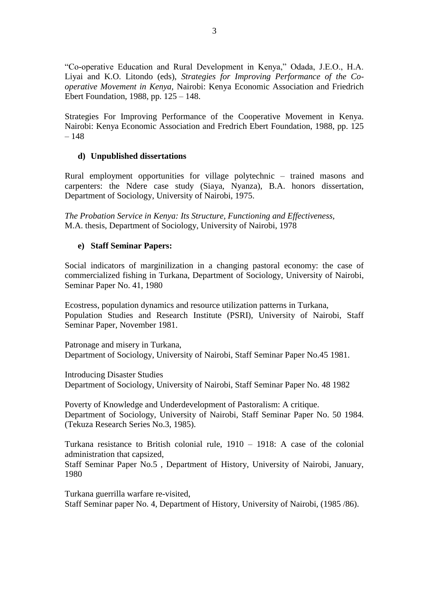"Co-operative Education and Rural Development in Kenya," Odada, J.E.O., H.A. Liyai and K.O. Litondo (eds), *Strategies for Improving Performance of the Cooperative Movement in Kenya,* Nairobi: Kenya Economic Association and Friedrich Ebert Foundation, 1988, pp. 125 – 148.

Strategies For Improving Performance of the Cooperative Movement in Kenya. Nairobi: Kenya Economic Association and Fredrich Ebert Foundation, 1988, pp. 125 – 148

# **d) Unpublished dissertations**

Rural employment opportunities for village polytechnic – trained masons and carpenters: the Ndere case study (Siaya, Nyanza), B.A. honors dissertation, Department of Sociology, University of Nairobi, 1975.

*The Probation Service in Kenya: Its Structure, Functioning and Effectiveness,* M.A. thesis, Department of Sociology, University of Nairobi, 1978

# **e) Staff Seminar Papers:**

Social indicators of marginilization in a changing pastoral economy: the case of commercialized fishing in Turkana, Department of Sociology, University of Nairobi, Seminar Paper No. 41, 1980

Ecostress, population dynamics and resource utilization patterns in Turkana, Population Studies and Research Institute (PSRI), University of Nairobi, Staff Seminar Paper, November 1981.

Patronage and misery in Turkana, Department of Sociology, University of Nairobi, Staff Seminar Paper No.45 1981.

Introducing Disaster Studies Department of Sociology, University of Nairobi, Staff Seminar Paper No. 48 1982

Poverty of Knowledge and Underdevelopment of Pastoralism: A critique. Department of Sociology, University of Nairobi, Staff Seminar Paper No. 50 1984. (Tekuza Research Series No.3, 1985).

Turkana resistance to British colonial rule, 1910 – 1918: A case of the colonial administration that capsized,

Staff Seminar Paper No.5 , Department of History, University of Nairobi, January, 1980

Turkana guerrilla warfare re-visited, Staff Seminar paper No. 4, Department of History, University of Nairobi, (1985 /86).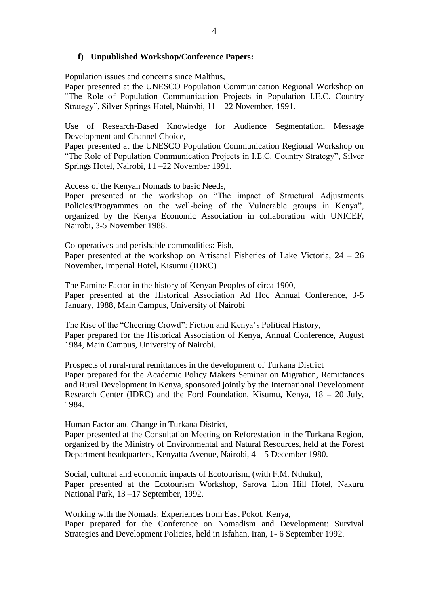## **f) Unpublished Workshop/Conference Papers:**

Population issues and concerns since Malthus,

Paper presented at the UNESCO Population Communication Regional Workshop on "The Role of Population Communication Projects in Population I.E.C. Country Strategy", Silver Springs Hotel, Nairobi, 11 – 22 November, 1991.

Use of Research-Based Knowledge for Audience Segmentation, Message Development and Channel Choice,

Paper presented at the UNESCO Population Communication Regional Workshop on "The Role of Population Communication Projects in I.E.C. Country Strategy", Silver Springs Hotel, Nairobi, 11 –22 November 1991.

Access of the Kenyan Nomads to basic Needs,

Paper presented at the workshop on "The impact of Structural Adjustments Policies/Programmes on the well-being of the Vulnerable groups in Kenya", organized by the Kenya Economic Association in collaboration with UNICEF, Nairobi, 3-5 November 1988.

Co-operatives and perishable commodities: Fish,

Paper presented at the workshop on Artisanal Fisheries of Lake Victoria, 24 – 26 November, Imperial Hotel, Kisumu (IDRC)

The Famine Factor in the history of Kenyan Peoples of circa 1900, Paper presented at the Historical Association Ad Hoc Annual Conference, 3-5 January, 1988, Main Campus, University of Nairobi

The Rise of the "Cheering Crowd": Fiction and Kenya's Political History, Paper prepared for the Historical Association of Kenya, Annual Conference, August 1984, Main Campus, University of Nairobi.

Prospects of rural-rural remittances in the development of Turkana District Paper prepared for the Academic Policy Makers Seminar on Migration, Remittances and Rural Development in Kenya, sponsored jointly by the International Development Research Center (IDRC) and the Ford Foundation, Kisumu, Kenya, 18 – 20 July, 1984.

Human Factor and Change in Turkana District,

Paper presented at the Consultation Meeting on Reforestation in the Turkana Region, organized by the Ministry of Environmental and Natural Resources, held at the Forest Department headquarters, Kenyatta Avenue, Nairobi, 4 – 5 December 1980.

Social, cultural and economic impacts of Ecotourism, (with F.M. Nthuku), Paper presented at the Ecotourism Workshop, Sarova Lion Hill Hotel, Nakuru National Park, 13 –17 September, 1992.

Working with the Nomads: Experiences from East Pokot, Kenya, Paper prepared for the Conference on Nomadism and Development: Survival Strategies and Development Policies, held in Isfahan, Iran, 1- 6 September 1992.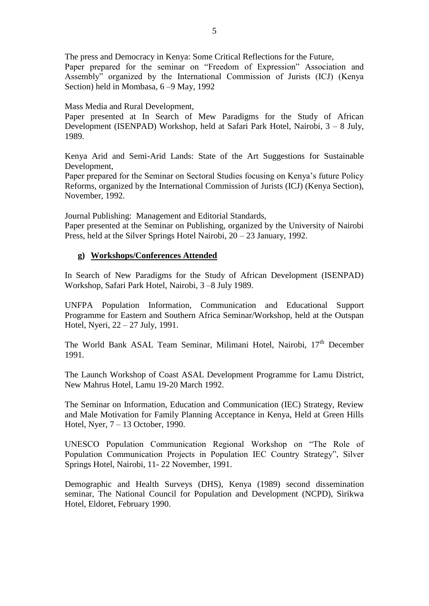The press and Democracy in Kenya: Some Critical Reflections for the Future, Paper prepared for the seminar on "Freedom of Expression" Association and Assembly" organized by the International Commission of Jurists (ICJ) (Kenya Section) held in Mombasa, 6 –9 May, 1992

### Mass Media and Rural Development,

Paper presented at In Search of Mew Paradigms for the Study of African Development (ISENPAD) Workshop, held at Safari Park Hotel, Nairobi, 3 – 8 July, 1989.

Kenya Arid and Semi-Arid Lands: State of the Art Suggestions for Sustainable Development,

Paper prepared for the Seminar on Sectoral Studies focusing on Kenya's future Policy Reforms, organized by the International Commission of Jurists (ICJ) (Kenya Section), November, 1992.

Journal Publishing: Management and Editorial Standards,

Paper presented at the Seminar on Publishing, organized by the University of Nairobi Press, held at the Silver Springs Hotel Nairobi, 20 – 23 January, 1992.

# **g) Workshops/Conferences Attended**

In Search of New Paradigms for the Study of African Development (ISENPAD) Workshop, Safari Park Hotel, Nairobi, 3 –8 July 1989.

UNFPA Population Information, Communication and Educational Support Programme for Eastern and Southern Africa Seminar/Workshop, held at the Outspan Hotel, Nyeri, 22 – 27 July, 1991.

The World Bank ASAL Team Seminar, Milimani Hotel, Nairobi, 17<sup>th</sup> December 1991.

The Launch Workshop of Coast ASAL Development Programme for Lamu District, New Mahrus Hotel, Lamu 19-20 March 1992.

The Seminar on Information, Education and Communication (IEC) Strategy, Review and Male Motivation for Family Planning Acceptance in Kenya, Held at Green Hills Hotel, Nyer, 7 – 13 October, 1990.

UNESCO Population Communication Regional Workshop on "The Role of Population Communication Projects in Population IEC Country Strategy", Silver Springs Hotel, Nairobi, 11- 22 November, 1991.

Demographic and Health Surveys (DHS), Kenya (1989) second dissemination seminar, The National Council for Population and Development (NCPD), Sirikwa Hotel, Eldoret, February 1990.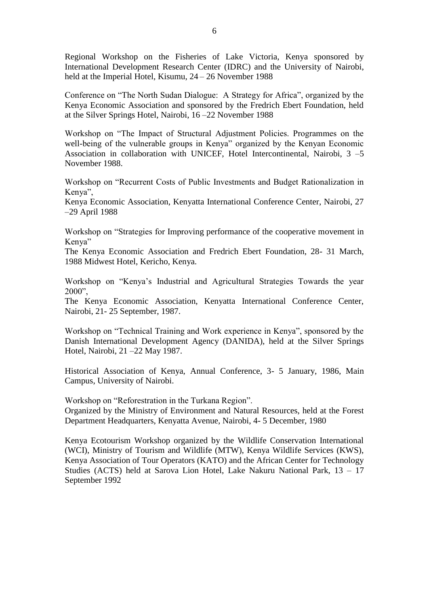Regional Workshop on the Fisheries of Lake Victoria, Kenya sponsored by International Development Research Center (IDRC) and the University of Nairobi, held at the Imperial Hotel, Kisumu, 24 – 26 November 1988

Conference on "The North Sudan Dialogue: A Strategy for Africa", organized by the Kenya Economic Association and sponsored by the Fredrich Ebert Foundation, held at the Silver Springs Hotel, Nairobi, 16 –22 November 1988

Workshop on "The Impact of Structural Adjustment Policies. Programmes on the well-being of the vulnerable groups in Kenya" organized by the Kenyan Economic Association in collaboration with UNICEF, Hotel Intercontinental, Nairobi, 3 –5 November 1988.

Workshop on "Recurrent Costs of Public Investments and Budget Rationalization in Kenya",

Kenya Economic Association, Kenyatta International Conference Center, Nairobi, 27 –29 April 1988

Workshop on "Strategies for Improving performance of the cooperative movement in Kenya"

The Kenya Economic Association and Fredrich Ebert Foundation, 28- 31 March, 1988 Midwest Hotel, Kericho, Kenya.

Workshop on "Kenya's Industrial and Agricultural Strategies Towards the year 2000",

The Kenya Economic Association, Kenyatta International Conference Center, Nairobi, 21- 25 September, 1987.

Workshop on "Technical Training and Work experience in Kenya", sponsored by the Danish International Development Agency (DANIDA), held at the Silver Springs Hotel, Nairobi, 21 –22 May 1987.

Historical Association of Kenya, Annual Conference, 3- 5 January, 1986, Main Campus, University of Nairobi.

Workshop on "Reforestration in the Turkana Region". Organized by the Ministry of Environment and Natural Resources, held at the Forest Department Headquarters, Kenyatta Avenue, Nairobi, 4- 5 December, 1980

Kenya Ecotourism Workshop organized by the Wildlife Conservation International (WCI), Ministry of Tourism and Wildlife (MTW), Kenya Wildlife Services (KWS), Kenya Association of Tour Operators (KATO) and the African Center for Technology Studies (ACTS) held at Sarova Lion Hotel, Lake Nakuru National Park, 13 – 17 September 1992